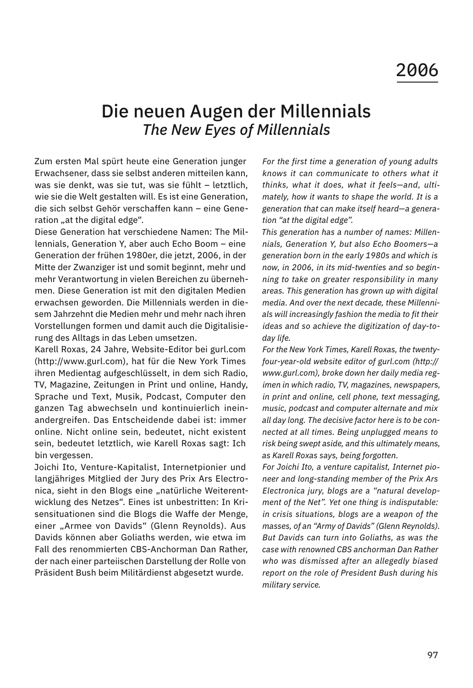## 2006

## Die neuen Augen der Millennials *The New Eyes of Millennials*

Zum ersten Mal spürt heute eine Generation junger Erwachsener, dass sie selbst anderen mitteilen kann, was sie denkt, was sie tut, was sie fühlt – letztlich, wie sie die Welt gestalten will. Es ist eine Generation, die sich selbst Gehör verschaffen kann – eine Generation ..at the digital edge".

Diese Generation hat verschiedene Namen: The Millennials, Generation Y, aber auch Echo Boom – eine Generation der frühen 1980er, die jetzt, 2006, in der Mitte der Zwanziger ist und somit beginnt, mehr und mehr Verantwortung in vielen Bereichen zu übernehmen. Diese Generation ist mit den digitalen Medien erwachsen geworden. Die Millennials werden in diesem Jahrzehnt die Medien mehr und mehr nach ihren Vorstellungen formen und damit auch die Digitalisierung des Alltags in das Leben umsetzen.

Karell Roxas, 24 Jahre, Website-Editor bei gurl.com (http://www.gurl.com), hat für die New York Times ihren Medientag aufgeschlüsselt, in dem sich Radio, TV, Magazine, Zeitungen in Print und online, Handy, Sprache und Text, Musik, Podcast, Computer den ganzen Tag abwechseln und kontinuierlich ineinandergreifen. Das Entscheidende dabei ist: immer online. Nicht online sein, bedeutet, nicht existent sein, bedeutet letztlich, wie Karell Roxas sagt: Ich bin vergessen.

Joichi Ito, Venture-Kapitalist, Internetpionier und langjähriges Mitglied der Jury des Prix Ars Electronica, sieht in den Blogs eine "natürliche Weiterentwicklung des Netzes". Eines ist unbestritten: In Krisensituationen sind die Blogs die Waffe der Menge, einer "Armee von Davids" (Glenn Reynolds). Aus Davids können aber Goliaths werden, wie etwa im Fall des renommierten CBS-Anchorman Dan Rather, der nach einer parteiischen Darstellung der Rolle von Präsident Bush beim Militärdienst abgesetzt wurde.

*For the first time a generation of young adults knows it can communicate to others what it thinks, what it does, what it feels—and, ultimately, how it wants to shape the world. It is a generation that can make itself heard—a generation "at the digital edge".* 

*This generation has a number of names: Millennials, Generation Y, but also Echo Boomers—a generation born in the early 1980s and which is now, in 2006, in its mid-twenties and so beginning to take on greater responsibility in many areas. This generation has grown up with digital media. And over the next decade, these Millennials will increasingly fashion the media to fit their ideas and so achieve the digitization of day-today life.*

*For the New York Times, Karell Roxas, the twentyfour-year-old website editor of gurl.com (http:// www.gurl.com), broke down her daily media regimen in which radio, TV, magazines, newspapers, in print and online, cell phone, text messaging, music, podcast and computer alternate and mix all day long. The decisive factor here is to be connected at all times. Being unplugged means to risk being swept aside, and this ultimately means, as Karell Roxas says, being forgotten.*

*For Joichi Ito, a venture capitalist, Internet pioneer and long-standing member of the Prix Ars Electronica jury, blogs are a "natural development of the Net". Yet one thing is indisputable: in crisis situations, blogs are a weapon of the masses, of an "Army of Davids" (Glenn Reynolds). But Davids can turn into Goliaths, as was the case with renowned CBS anchorman Dan Rather who was dismissed after an allegedly biased report on the role of President Bush during his military service.*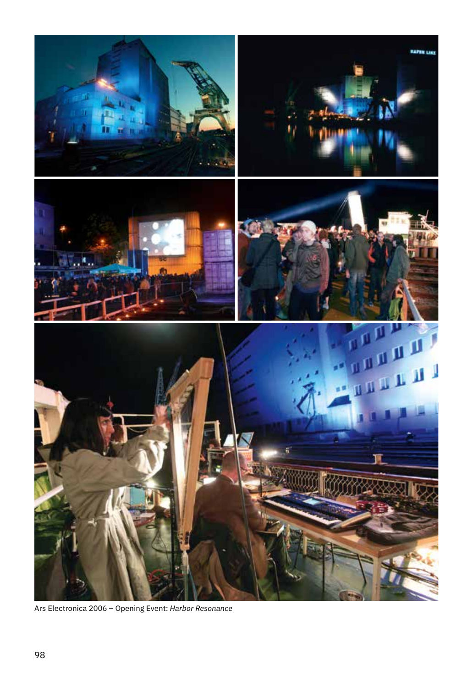

Ars Electronica 2006 – Opening Event: *Harbor Resonance*